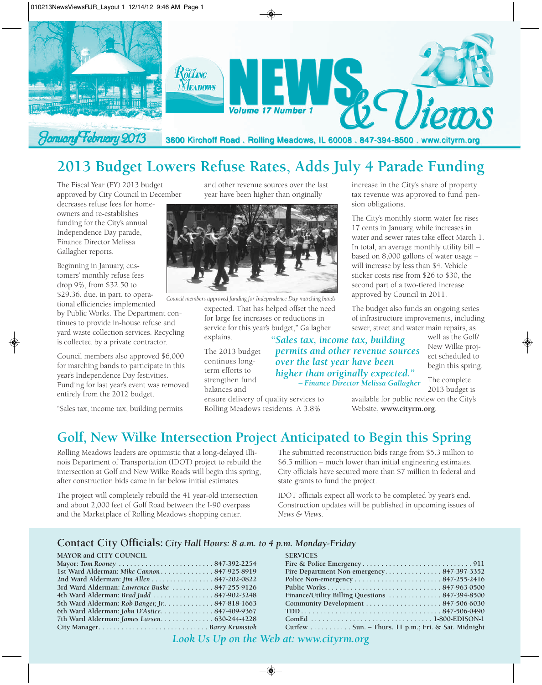

# **2013 Budget Lowers Refuse Rates, Adds July 4 Parade Funding**

The Fiscal Year (FY) 2013 budget approved by City Council in December

decreases refuse fees for homeowners and re-establishes funding for the City's annual Independence Day parade, Finance Director Melissa Gallagher reports.

Beginning in January, customers' monthly refuse fees drop 9%, from \$32.50 to \$29.36, due, in part, to operational efficiencies implemented

by Public Works. The Department continues to provide in-house refuse and yard waste collection services. Recycling is collected by a private contractor.

Council members also approved \$6,000 for marching bands to participate in this year's Independence Day festivities. Funding for last year's event was removed entirely from the 2012 budget.

"Sales tax, income tax, building permits

and other revenue sources over the last year have been higher than originally



*Council members approved funding for Independence Day marching bands.* 

expected. That has helped offset the need for large fee increases or reductions in service for this year's budget," Gallagher explains.

The 2013 budget continues longterm efforts to strengthen fund balances and

*"Sales tax, income tax, building permits and other revenue sources over the last year have been higher than originally expected." – Finance Director Melissa Gallagher*

increase in the City's share of property tax revenue was approved to fund pension obligations.

The City's monthly storm water fee rises 17 cents in January, while increases in water and sewer rates take effect March 1. In total, an average monthly utility bill – based on 8,000 gallons of water usage – will increase by less than \$4. Vehicle sticker costs rise from \$26 to \$30, the second part of a two-tiered increase approved by Council in 2011.

The budget also funds an ongoing series of infrastructure improvements, including sewer, street and water main repairs, as

> well as the Golf/ New Wilke project scheduled to begin this spring.

The complete 2013 budget is available for public review on the City's

ensure delivery of quality services to Rolling Meadows residents. A 3.8%

**Golf, New Wilke Intersection Project Anticipated to Begin this Spring**

Rolling Meadows leaders are optimistic that a long-delayed Illinois Department of Transportation (IDOT) project to rebuild the intersection at Golf and New Wilke Roads will begin this spring, after construction bids came in far below initial estimates.

The project will completely rebuild the 41 year-old intersection and about 2,000 feet of Golf Road between the I-90 overpass and the Marketplace of Rolling Meadows shopping center.

The submitted reconstruction bids range from \$5.3 million to \$6.5 million – much lower than initial engineering estimates. City officials have secured more than \$7 million in federal and state grants to fund the project.

Website, **www.cityrm.org**.

IDOT officials expect all work to be completed by year's end. Construction updates will be published in upcoming issues of *News & Views*.

#### **Contact City Officials:** *City Hall Hours: 8 a.m. to 4 p.m. Monday-Friday*

#### **MAYOR and CITY COUNCIL**

| 1st Ward Alderman: Mike Cannon 847-925-8919     |  |
|-------------------------------------------------|--|
| 2nd Ward Alderman: Jim Allen 847-202-0822       |  |
| 3rd Ward Alderman: Lawrence Buske  847-255-9126 |  |
| 4th Ward Alderman: Brad Judd  847-902-3248      |  |
| 5th Ward Alderman: Rob Banger, Jr. 847-818-1663 |  |
| 6th Ward Alderman: John D'Astice 847-409-9367   |  |
| 7th Ward Alderman: James Larsen 630-244-4228    |  |
|                                                 |  |
|                                                 |  |

| <b>SERVICES</b>                                    |  |
|----------------------------------------------------|--|
|                                                    |  |
|                                                    |  |
|                                                    |  |
|                                                    |  |
|                                                    |  |
|                                                    |  |
|                                                    |  |
|                                                    |  |
| Curfew Sun. - Thurs. 11 p.m.; Fri. & Sat. Midnight |  |

*Look Us Up on the Web at: www.cityrm.org*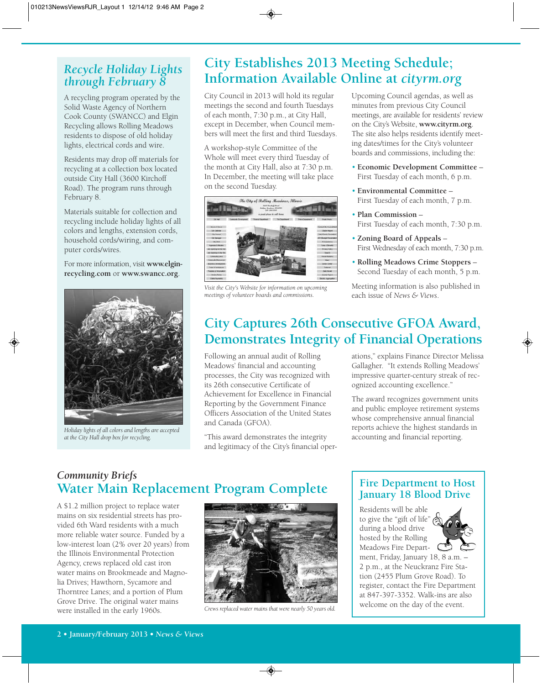### *Recycle Holiday Lights through February 8*

A recycling program operated by the Solid Waste Agency of Northern Cook County (SWANCC) and Elgin Recycling allows Rolling Meadows residents to dispose of old holiday lights, electrical cords and wire.

Residents may drop off materials for recycling at a collection box located outside City Hall (3600 Kirchoff Road). The program runs through February 8.

Materials suitable for collection and recycling include holiday lights of all colors and lengths, extension cords, household cords/wiring, and computer cords/wires.

For more information, visit **www.elginrecycling.com** or **www.swancc.org**.



*Holiday lights of all colors and lengths are accepted at the City Hall drop box for recycling.*

# **City Establishes 2013 Meeting Schedule; Information Available Online at** *cityrm.org*

City Council in 2013 will hold its regular meetings the second and fourth Tuesdays of each month, 7:30 p.m., at City Hall, except in December, when Council members will meet the first and third Tuesdays.

A workshop-style Committee of the Whole will meet every third Tuesday of the month at City Hall, also at 7:30 p.m. In December, the meeting will take place on the second Tuesday.



*Visit the City's Website for information on upcoming meetings of volunteer boards and commissions.*

Upcoming Council agendas, as well as minutes from previous City Council meetings, are available for residents' review on the City's Website, **www.cityrm.org**. The site also helps residents identify meeting dates/times for the City's volunteer boards and commissions, including the:

- **Economic Development Committee**  First Tuesday of each month, 6 p.m.
- **Environmental Committee** First Tuesday of each month, 7 p.m.
- **Plan Commission** First Tuesday of each month, 7:30 p.m.
- **Zoning Board of Appeals** First Wednesday of each month, 7:30 p.m.
- **Rolling Meadows Crime Stoppers** Second Tuesday of each month, 5 p.m.

Meeting information is also published in each issue of *News & Views*.

# **City Captures 26th Consecutive GFOA Award, Demonstrates Integrity of Financial Operations**

Following an annual audit of Rolling Meadows' financial and accounting processes, the City was recognized with its 26th consecutive Certificate of Achievement for Excellence in Financial Reporting by the Government Finance Officers Association of the United States and Canada (GFOA).

"This award demonstrates the integrity and legitimacy of the City's financial operations," explains Finance Director Melissa Gallagher. "It extends Rolling Meadows' impressive quarter-century streak of recognized accounting excellence."

The award recognizes government units and public employee retirement systems whose comprehensive annual financial reports achieve the highest standards in accounting and financial reporting.

### *Community Briefs* **Water Main Replacement Program Complete**

A \$1.2 million project to replace water mains on six residential streets has provided 6th Ward residents with a much more reliable water source. Funded by a low-interest loan (2% over 20 years) from the Illinois Environmental Protection Agency, crews replaced old cast iron water mains on Brookmeade and Magnolia Drives; Hawthorn, Sycamore and Thorntree Lanes; and a portion of Plum Grove Drive. The original water mains were installed in the early 1960s. *Crews replaced water mains that were nearly 50 years old.*



### **Fire Department to Host January 18 Blood Drive**

Residents will be able to give the "gift of life" during a blood drive hosted by the Rolling Meadows Fire Depart-



ment, Friday, January 18, 8 a.m. – 2 p.m., at the Neuckranz Fire Station (2455 Plum Grove Road). To register, contact the Fire Department at 847-397-3352. Walk-ins are also welcome on the day of the event.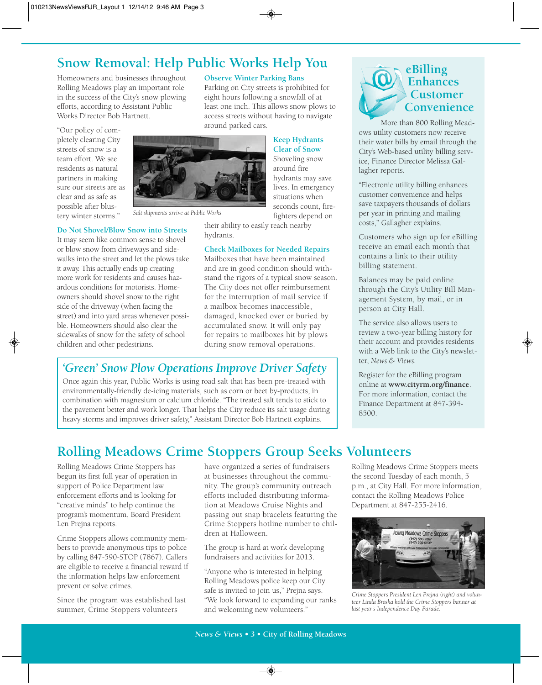### **Snow Removal: Help Public Works Help You**

Homeowners and businesses throughout Rolling Meadows play an important role in the success of the City's snow plowing efforts, according to Assistant Public Works Director Bob Hartnett.

"Our policy of completely clearing City streets of snow is a team effort. We see residents as natural partners in making sure our streets are as clear and as safe as possible after blustery winter storms."

*Salt shipments arrive at Public Works.*

#### **Do Not Shovel/Blow Snow into Streets**

It may seem like common sense to shovel or blow snow from driveways and sidewalks into the street and let the plows take it away. This actually ends up creating more work for residents and causes hazardous conditions for motorists. Homeowners should shovel snow to the right side of the driveway (when facing the street) and into yard areas whenever possible. Homeowners should also clear the sidewalks of snow for the safety of school children and other pedestrians.

fighters depend on their ability to easily reach nearby hydrants.

**Observe Winter Parking Bans**

Parking on City streets is prohibited for eight hours following a snowfall of at least one inch. This allows snow plows to access streets without having to navigate

#### **Check Mailboxes for Needed Repairs**

Mailboxes that have been maintained and are in good condition should withstand the rigors of a typical snow season. The City does not offer reimbursement for the interruption of mail service if a mailbox becomes inaccessible, damaged, knocked over or buried by accumulated snow. It will only pay for repairs to mailboxes hit by plows during snow removal operations.

### *'Green' Snow Plow Operations Improve Driver Safety*

Once again this year, Public Works is using road salt that has been pre-treated with environmentally-friendly de-icing materials, such as corn or beet by-products, in combination with magnesium or calcium chloride. "The treated salt tends to stick to the pavement better and work longer. That helps the City reduce its salt usage during heavy storms and improves driver safety," Assistant Director Bob Hartnett explains.

### **eBilling Enhances Customer Convenience**

More than 800 Rolling Meadows utility customers now receive their water bills by email through the City's Web-based utility billing service, Finance Director Melissa Gallagher reports.

"Electronic utility billing enhances customer convenience and helps save taxpayers thousands of dollars per year in printing and mailing costs," Gallagher explains.

Customers who sign up for eBilling receive an email each month that contains a link to their utility billing statement.

Balances may be paid online through the City's Utility Bill Management System, by mail, or in person at City Hall.

The service also allows users to review a two-year billing history for their account and provides residents with a Web link to the City's newsletter, *News & Views.*

Register for the eBilling program online at **www.cityrm.org/finance**. For more information, contact the Finance Department at 847-394- 8500.

# **Rolling Meadows Crime Stoppers Group Seeks Volunteers**

Rolling Meadows Crime Stoppers has begun its first full year of operation in support of Police Department law enforcement efforts and is looking for "creative minds" to help continue the program's momentum, Board President Len Prejna reports.

Crime Stoppers allows community members to provide anonymous tips to police by calling 847-590-STOP (7867). Callers are eligible to receive a financial reward if the information helps law enforcement prevent or solve crimes.

Since the program was established last summer, Crime Stoppers volunteers

have organized a series of fundraisers at businesses throughout the community. The group's community outreach efforts included distributing information at Meadows Cruise Nights and passing out snap bracelets featuring the Crime Stoppers hotline number to children at Halloween.

The group is hard at work developing fundraisers and activities for 2013.

"Anyone who is interested in helping Rolling Meadows police keep our City safe is invited to join us," Prejna says. "We look forward to expanding our ranks and welcoming new volunteers."

Rolling Meadows Crime Stoppers meets the second Tuesday of each month, 5 p.m., at City Hall. For more information, contact the Rolling Meadows Police Department at 847-255-2416.



*Crime Stoppers President Len Prejna (right) and volunteer Linda Broska hold the Crime Stoppers banner at last year's Independence Day Parade.*



around parked cars.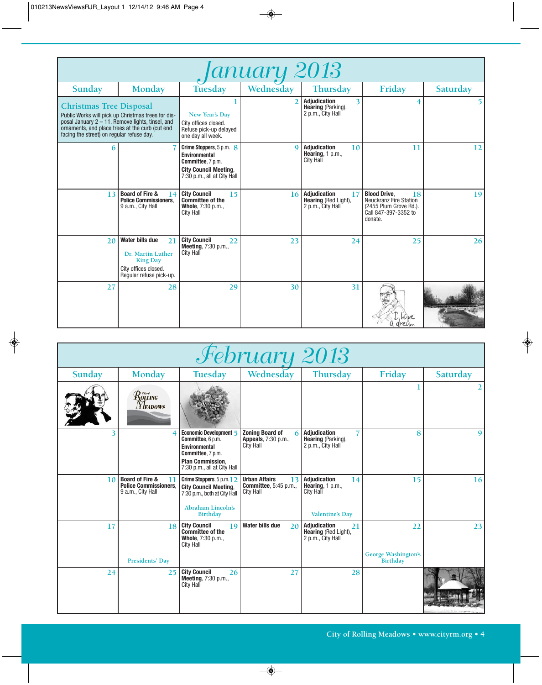| lanuary 2013                                                                                                                   |                                                                                                                  |                                                                                                                               |           |                                                                               |                                                                                                                         |          |  |
|--------------------------------------------------------------------------------------------------------------------------------|------------------------------------------------------------------------------------------------------------------|-------------------------------------------------------------------------------------------------------------------------------|-----------|-------------------------------------------------------------------------------|-------------------------------------------------------------------------------------------------------------------------|----------|--|
| Sunday                                                                                                                         | <b>Monday</b>                                                                                                    | Tuesday                                                                                                                       | Wednesday | <b>Thursday</b>                                                               | Friday                                                                                                                  | Saturday |  |
| <b>Christmas Tree Disposal</b><br>ornaments, and place trees at the curb (cut end<br>facing the street) on regular refuse day. | Public Works will pick up Christmas trees for dis-<br>posal January $2 - 11$ . Remove lights, tinsel, and        | New Year's Day<br>City offices closed.<br>Refuse pick-up delayed<br>one day all week.                                         |           | <b>Adjudication</b><br>3<br><b>Hearing</b> (Parking),<br>2 p.m., City Hall    | 4                                                                                                                       |          |  |
| 6                                                                                                                              |                                                                                                                  | Crime Stoppers, 5 p.m. 8<br>Environmental<br>Committee, 7 p.m.<br><b>City Council Meeting.</b><br>7:30 p.m., all at City Hall | $\Omega$  | Adjudication<br>10<br>Hearing, $1 p.m.,$<br><b>City Hall</b>                  | 11                                                                                                                      | 12       |  |
| 13                                                                                                                             | <b>Board of Fire &amp;</b><br>14<br><b>Police Commissioners.</b><br>9 a.m., City Hall                            | <b>City Council</b><br>15<br><b>Committee of the</b><br>Whole, 7:30 p.m.,<br>City Hall                                        | 16        | <b>Adjudication</b><br>17<br><b>Hearing (Red Light),</b><br>2 p.m., City Hall | <b>Blood Drive.</b><br>18<br><b>Neuckranz Fire Station</b><br>(2455 Plum Grove Rd.).<br>Call 847-397-3352 to<br>donate. | 19       |  |
| 20                                                                                                                             | Water bills due<br>21<br>Dr. Martin Luther<br><b>King Day</b><br>City offices closed.<br>Regular refuse pick-up. | <b>City Council</b><br>22<br>Meeting, 7:30 p.m.,<br><b>City Hall</b>                                                          | 23        | 24                                                                            | 25                                                                                                                      | 26       |  |
| 27                                                                                                                             | 28                                                                                                               | 29                                                                                                                            | 30        | 31                                                                            |                                                                                                                         |          |  |

| February 2013 |                                                                                       |                                                                                                                                                    |                                                                                 |                                                                                      |                                                     |              |
|---------------|---------------------------------------------------------------------------------------|----------------------------------------------------------------------------------------------------------------------------------------------------|---------------------------------------------------------------------------------|--------------------------------------------------------------------------------------|-----------------------------------------------------|--------------|
| Sunday        | Monday                                                                                | <b>Tuesday</b>                                                                                                                                     | Wednesday                                                                       | Thursday                                                                             | Friday                                              | Saturday     |
|               | $\mathcal{R}$ olling<br><b>NEADOWS</b>                                                |                                                                                                                                                    |                                                                                 |                                                                                      |                                                     |              |
|               | 4                                                                                     | Economic Development 5<br>Committee, 6 p.m.<br><b>Environmental</b><br>Committee, 7 p.m.<br><b>Plan Commission.</b><br>7:30 p.m., all at City Hall | <b>Zoning Board of</b><br><b>Appeals</b> , 7:30 p.m.,<br>City Hall              | <b>Adjudication</b><br>Hearing (Parking),<br>2 p.m., City Hall                       | 8                                                   | $\mathbf{9}$ |
| 10            | <b>Board of Fire &amp;</b><br>11<br><b>Police Commissioners.</b><br>9 a.m., City Hall | Crime Stoppers, 5 p.m. 1 2<br><b>City Council Meeting,</b><br>7:30 p.m., both at City Hall<br><b>Abraham Lincoln's</b><br><b>Birthday</b>          | <b>Urban Affairs</b><br>13<br><b>Committee</b> , 5:45 p.m.,<br><b>City Hall</b> | Adjudication<br>14<br>Hearing, 1 p.m.,<br><b>City Hall</b><br><b>Valentine's Day</b> | 15                                                  | 16           |
| 17            | 18<br>Presidents' Day                                                                 | <b>City Council</b><br>19<br><b>Committee of the</b><br>Whole, 7:30 p.m.,<br><b>City Hall</b>                                                      | <b>Water bills due</b><br>2 <sub>0</sub>                                        | <b>Adjudication</b><br>21<br>Hearing (Red Light),<br>2 p.m., City Hall               | 22<br><b>George Washington's</b><br><b>Birthday</b> | 23           |
| 24            | 25                                                                                    | <b>City Council</b><br>26<br>Meeting, 7:30 p.m.,<br><b>City Hall</b>                                                                               | 27                                                                              | 28                                                                                   |                                                     |              |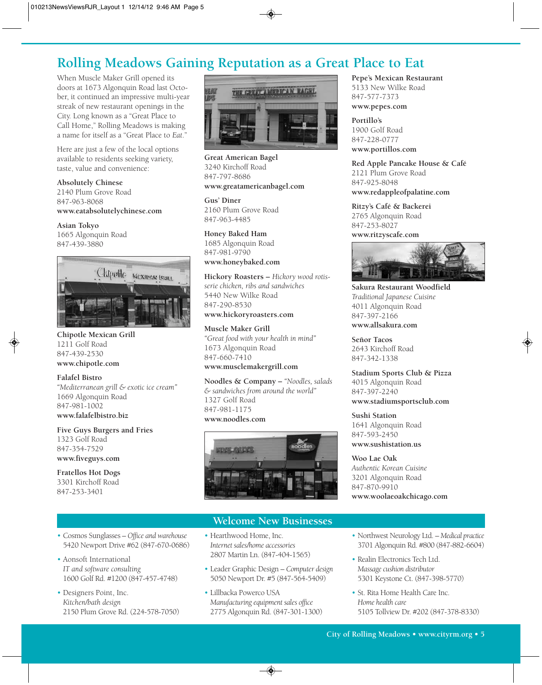# **Rolling Meadows Gaining Reputation as a Great Place to Eat**

When Muscle Maker Grill opened its doors at 1673 Algonquin Road last October, it continued an impressive multi-year streak of new restaurant openings in the City. Long known as a "Great Place to Call Home," Rolling Meadows is making a name for itself as a "Great Place to *Eat*."

Here are just a few of the local options available to residents seeking variety, taste, value and convenience:

**Absolutely Chinese**

2140 Plum Grove Road 847-963-8068 **www.eatabsolutelychinese.com**

**Asian Tokyo** 1665 Algonquin Road 847-439-3880



**Chipotle Mexican Grill** 1211 Golf Road 847-439-2530 **www.chipotle.com**

### **Falafel Bistro**

*"Mediterranean grill & exotic ice cream"* 1669 Algonquin Road 847-981-1002 **www.falafelbistro.biz**

• Cosmos Sunglasses *– Office and warehouse* 5420 Newport Drive #62 (847-670-0686)

1600 Golf Rd. #1200 (847-457-4748)

2150 Plum Grove Rd. (224-578-7050)

**Five Guys Burgers and Fries**  1323 Golf Road 847-354-7529 **www.fiveguys.com**

**Fratellos Hot Dogs** 3301 Kirchoff Road 847-253-3401

• Aonsoft International *IT and software consulting*

• Designers Point, Inc. *Kitchen/bath design*



**Great American Bagel** 3240 Kirchoff Road 847-797-8686 **www.greatamericanbagel.com**

**Gus' Diner** 2160 Plum Grove Road 847-963-4485

#### **Honey Baked Ham**

1685 Algonquin Road 847-981-9790 **www.honeybaked.com**

**Hickory Roasters –** *Hickory wood rotisserie chicken, ribs and sandwiches* 5440 New Wilke Road 847-290-8530

### **www.hickoryroasters.com**

**Muscle Maker Grill** *"Great food with your health in mind"* 1673 Algonquin Road 847-660-7410 **www.musclemakergrill.com**

**Noodles & Company –** *"Noodles, salads & sandwiches from around the world"* 1327 Golf Road 847-981-1175 **www.noodles.com**



#### **Welcome New Businesses**

- Hearthwood Home, Inc. *Internet sales/home accessories* 2807 Martin Ln. (847-404-1565)
	- Leader Graphic Design *Computer design* 5050 Newport Dr. #5 (847-564-5409)
	- Lillbacka Powerco USA *Manufacturing equipment sales office* 2775 Algonquin Rd. (847-301-1300)

### **Pepe's Mexican Restaurant**

5133 New Wilke Road 847-577-7373 **www.pepes.com**

**Portillo's**  1900 Golf Road 847-228-0777 **www.portillos.com**

**Red Apple Pancake House & Café**  2121 Plum Grove Road 847-925-8048 **www.redappleofpalatine.com**

**Ritzy's Café & Backerei** 2765 Algonquin Road 847-253-8027 **www.ritzyscafe.com**



**Sakura Restaurant Woodfield** *Traditional Japanese Cuisine* 4011 Algonquin Road 847-397-2166 **www.allsakura.com**

**Señor Tacos** 2643 Kirchoff Road 847-342-1338

**Stadium Sports Club & Pizza** 4015 Algonquin Road 847-397-2240 **www.stadiumsportsclub.com**

**Sushi Station** 1641 Algonquin Road 847-593-2450 **www.sushistation.us**

**Woo Lae Oak** *Authentic Korean Cuisine* 3201 Algonquin Road 847-870-9910

#### **www.woolaeoakchicago.com**

- Northwest Neurology Ltd. *Medical practice* 3701 Algonquin Rd. #800 (847-882-6604)
- Realin Electronics Tech Ltd. *Massage cushion distributor* 5301 Keystone Ct. (847-398-5770)
- St. Rita Home Health Care Inc. *Home health care* 5105 Tollview Dr. #202 (847-378-8330)